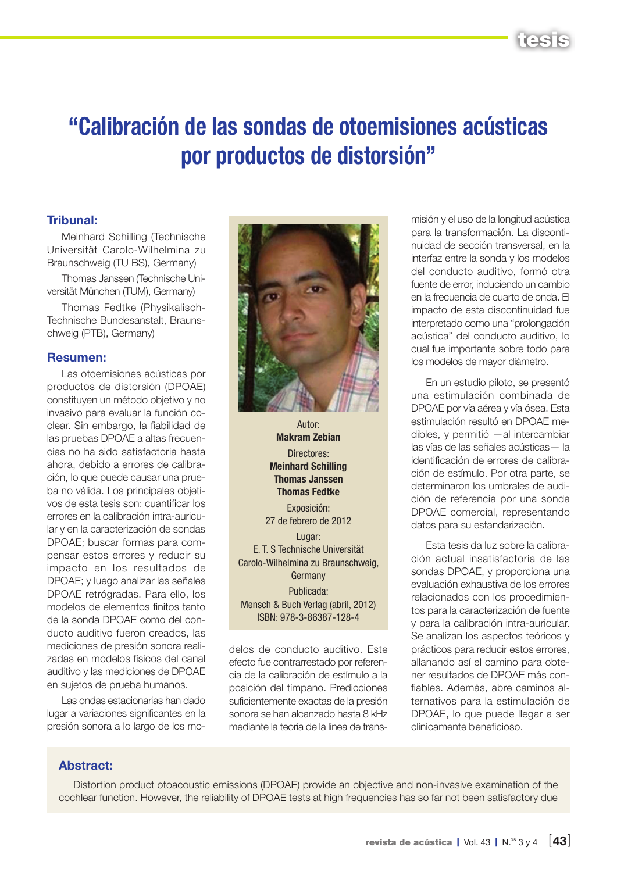

# "Calibración de las sondas de otoemisiones acústicas por productos de distorsión"

#### Tribunal:

Meinhard Schilling (Technische Universität Carolo-Wilhelmina zu Braunschweig (TU BS), Germany)

Thomas Janssen (Technische Universität München (TUM), Germany)

Thomas Fedtke (Physikalisch-Technische Bundesanstalt, Braunschweig (PTB), Germany)

#### Resumen:

Las otoemisiones acústicas por productos de distorsión (DPOAE) constituyen un método objetivo y no invasivo para evaluar la función coclear. Sin embargo, la fiabilidad de las pruebas DPOAE a altas frecuencias no ha sido satisfactoria hasta ahora, debido a errores de calibración, lo que puede causar una prueba no válida. Los principales objetivos de esta tesis son: cuantificar los errores en la calibración intra-auricular y en la caracterización de sondas DPOAE; buscar formas para compensar estos errores y reducir su impacto en los resultados de DPOAE; y luego analizar las señales DPOAE retrógradas. Para ello, los modelos de elementos finitos tanto de la sonda DPOAE como del conducto auditivo fueron creados, las mediciones de presión sonora realizadas en modelos físicos del canal auditivo y las mediciones de DPOAE en sujetos de prueba humanos.

Las ondas estacionarias han dado lugar a variaciones significantes en la presión sonora a lo largo de los mo-



Autor: Makram Zebian Directores: Meinhard Schilling Thomas Janssen Thomas Fedtke Exposición: 27 de febrero de 2012 Lugar: E. T. S Technische Universität Carolo-Wilhelmina zu Braunschweig, Germany Publicada: Mensch & Buch Verlag (abril, 2012)

delos de conducto auditivo. Este efecto fue contrarrestado por referencia de la calibración de estímulo a la posición del tímpano. Predicciones suficientemente exactas de la presión sonora se han alcanzado hasta 8 kHz

ISBN: 978-3-86387-128-4

mediante la teoría de la línea de trans-

misión y el uso de la longitud acústica para la transformación. La discontinuidad de sección transversal, en la interfaz entre la sonda y los modelos del conducto auditivo, formó otra fuente de error, induciendo un cambio en la frecuencia de cuarto de onda. El impacto de esta discontinuidad fue interpretado como una "prolongación acústica" del conducto auditivo, lo cual fue importante sobre todo para los modelos de mayor diámetro.

En un estudio piloto, se presentó una estimulación combinada de DPOAE por vía aérea y vía ósea. Esta estimulación resultó en DPOAE medibles, y permitió —al intercambiar las vías de las señales acústicas— la identificación de errores de calibración de estímulo. Por otra parte, se determinaron los umbrales de audición de referencia por una sonda DPOAE comercial, representando datos para su estandarización.

Esta tesis da luz sobre la calibración actual insatisfactoria de las sondas DPOAE, y proporciona una evaluación exhaustiva de los errores relacionados con los procedimientos para la caracterización de fuente y para la calibración intra-auricular. Se analizan los aspectos teóricos y prácticos para reducir estos errores, allanando así el camino para obtener resultados de DPOAE más confiables. Además, abre caminos alternativos para la estimulación de DPOAE, lo que puede llegar a ser clínicamente beneficioso.

#### Abstract:

Distortion product otoacoustic emissions (DPOAE) provide an objective and non-invasive examination of the cochlear function. However, the reliability of DPOAE tests at high frequencies has so far not been satisfactory due